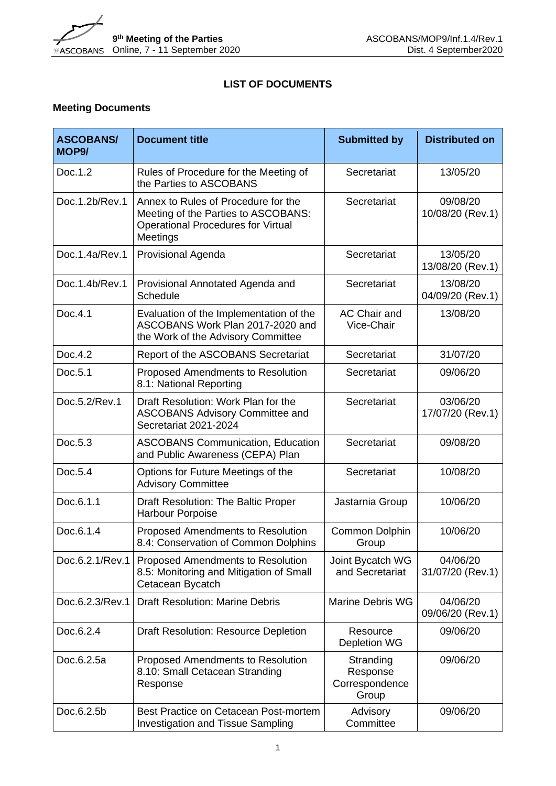

## **LIST OF DOCUMENTS**

## **Meeting Documents**

| <b>ASCOBANS/</b><br>MOP <sub>9</sub> / | <b>Document title</b>                                                                                                               | <b>Submitted by</b>                              | <b>Distributed on</b>        |
|----------------------------------------|-------------------------------------------------------------------------------------------------------------------------------------|--------------------------------------------------|------------------------------|
| Doc.1.2                                | Rules of Procedure for the Meeting of<br>the Parties to ASCOBANS                                                                    | Secretariat                                      | 13/05/20                     |
| Doc.1.2b/Rev.1                         | Annex to Rules of Procedure for the<br>Meeting of the Parties to ASCOBANS:<br><b>Operational Procedures for Virtual</b><br>Meetings | Secretariat                                      | 09/08/20<br>10/08/20 (Rev.1) |
| Doc.1.4a/Rev.1                         | <b>Provisional Agenda</b>                                                                                                           | Secretariat                                      | 13/05/20<br>13/08/20 (Rev.1) |
| Doc.1.4b/Rev.1                         | Provisional Annotated Agenda and<br>Schedule                                                                                        | Secretariat                                      | 13/08/20<br>04/09/20 (Rev.1) |
| Doc.4.1                                | Evaluation of the Implementation of the<br>ASCOBANS Work Plan 2017-2020 and<br>the Work of the Advisory Committee                   | AC Chair and<br>Vice-Chair                       | 13/08/20                     |
| Doc.4.2                                | Report of the ASCOBANS Secretariat                                                                                                  | Secretariat                                      | 31/07/20                     |
| Doc.5.1                                | Proposed Amendments to Resolution<br>8.1: National Reporting                                                                        | Secretariat                                      | 09/06/20                     |
| Doc.5.2/Rev.1                          | Draft Resolution: Work Plan for the<br><b>ASCOBANS Advisory Committee and</b><br>Secretariat 2021-2024                              | Secretariat                                      | 03/06/20<br>17/07/20 (Rev.1) |
| Doc.5.3                                | <b>ASCOBANS Communication, Education</b><br>and Public Awareness (CEPA) Plan                                                        | Secretariat                                      | 09/08/20                     |
| Doc.5.4                                | Options for Future Meetings of the<br><b>Advisory Committee</b>                                                                     | Secretariat                                      | 10/08/20                     |
| Doc.6.1.1                              | Draft Resolution: The Baltic Proper<br>Harbour Porpoise                                                                             | Jastarnia Group                                  | 10/06/20                     |
| Doc.6.1.4                              | Proposed Amendments to Resolution<br>8.4: Conservation of Common Dolphins                                                           | Common Dolphin<br>Group                          | 10/06/20                     |
| Doc.6.2.1/Rev.1                        | <b>Proposed Amendments to Resolution</b><br>8.5: Monitoring and Mitigation of Small<br>Cetacean Bycatch                             | Joint Bycatch WG<br>and Secretariat              | 04/06/20<br>31/07/20 (Rev.1) |
| Doc.6.2.3/Rev.1                        | <b>Draft Resolution: Marine Debris</b>                                                                                              | <b>Marine Debris WG</b>                          | 04/06/20<br>09/06/20 (Rev.1) |
| Doc.6.2.4                              | <b>Draft Resolution: Resource Depletion</b>                                                                                         | Resource<br><b>Depletion WG</b>                  | 09/06/20                     |
| Doc.6.2.5a                             | Proposed Amendments to Resolution<br>8.10: Small Cetacean Stranding<br>Response                                                     | Stranding<br>Response<br>Correspondence<br>Group | 09/06/20                     |
| Doc.6.2.5b                             | Best Practice on Cetacean Post-mortem<br><b>Investigation and Tissue Sampling</b>                                                   | Advisory<br>Committee                            | 09/06/20                     |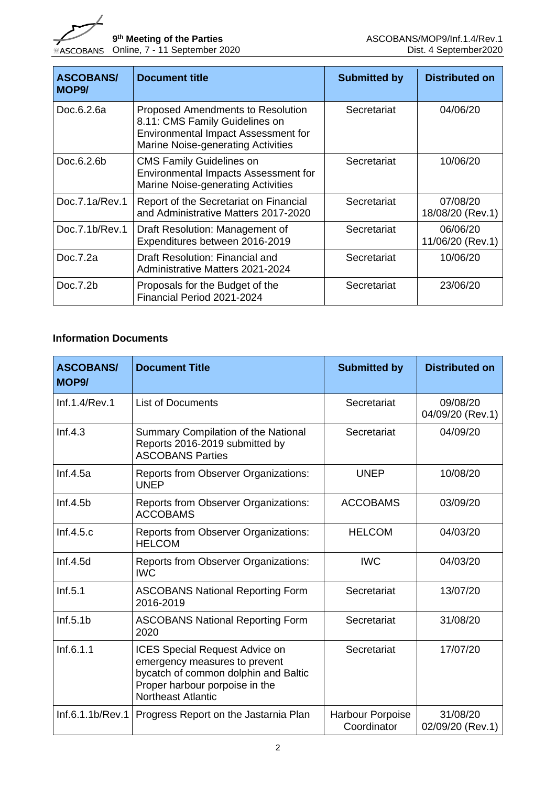

| <b>ASCOBANS/</b><br>MOP <sub>9</sub> / | <b>Document title</b>                                                                                                                                          | <b>Submitted by</b> | <b>Distributed on</b>        |
|----------------------------------------|----------------------------------------------------------------------------------------------------------------------------------------------------------------|---------------------|------------------------------|
| Doc.6.2.6a                             | <b>Proposed Amendments to Resolution</b><br>8.11: CMS Family Guidelines on<br><b>Environmental Impact Assessment for</b><br>Marine Noise-generating Activities | Secretariat         | 04/06/20                     |
| Doc.6.2.6b                             | <b>CMS Family Guidelines on</b><br>Environmental Impacts Assessment for<br>Marine Noise-generating Activities                                                  | Secretariat         | 10/06/20                     |
| Doc.7.1a/Rev.1                         | Report of the Secretariat on Financial<br>and Administrative Matters 2017-2020                                                                                 | Secretariat         | 07/08/20<br>18/08/20 (Rev.1) |
| Doc.7.1b/Rev.1                         | Draft Resolution: Management of<br>Expenditures between 2016-2019                                                                                              | Secretariat         | 06/06/20<br>11/06/20 (Rev.1) |
| Doc.7.2a                               | Draft Resolution: Financial and<br>Administrative Matters 2021-2024                                                                                            | Secretariat         | 10/06/20                     |
| Doc.7.2b                               | Proposals for the Budget of the<br>Financial Period 2021-2024                                                                                                  | Secretariat         | 23/06/20                     |

## **Information Documents**

| <b>ASCOBANS/</b><br>MOP <sub>9</sub> / | <b>Document Title</b>                                                                                                                                                         | <b>Submitted by</b>             | <b>Distributed on</b>        |
|----------------------------------------|-------------------------------------------------------------------------------------------------------------------------------------------------------------------------------|---------------------------------|------------------------------|
| Inf.1.4/Rev.1                          | <b>List of Documents</b>                                                                                                                                                      | Secretariat                     | 09/08/20<br>04/09/20 (Rev.1) |
| Inf.4.3                                | Summary Compilation of the National<br>Reports 2016-2019 submitted by<br><b>ASCOBANS Parties</b>                                                                              | Secretariat                     | 04/09/20                     |
| Inf.4.5a                               | Reports from Observer Organizations:<br><b>UNEP</b>                                                                                                                           | <b>UNEP</b>                     | 10/08/20                     |
| Inf.4.5b                               | <b>Reports from Observer Organizations:</b><br><b>ACCOBAMS</b>                                                                                                                | <b>ACCOBAMS</b>                 | 03/09/20                     |
| Inf.4.5.c                              | Reports from Observer Organizations:<br><b>HELCOM</b>                                                                                                                         | <b>HELCOM</b>                   | 04/03/20                     |
| Inf.4.5d                               | Reports from Observer Organizations:<br><b>IWC</b>                                                                                                                            | <b>IWC</b>                      | 04/03/20                     |
| Inf.5.1                                | <b>ASCOBANS National Reporting Form</b><br>2016-2019                                                                                                                          | Secretariat                     | 13/07/20                     |
| Inf.5.1b                               | <b>ASCOBANS National Reporting Form</b><br>2020                                                                                                                               | Secretariat                     | 31/08/20                     |
| Inf.6.1.1                              | <b>ICES Special Request Advice on</b><br>emergency measures to prevent<br>bycatch of common dolphin and Baltic<br>Proper harbour porpoise in the<br><b>Northeast Atlantic</b> | Secretariat                     | 17/07/20                     |
| Inf.6.1.1b/Rev.1                       | Progress Report on the Jastarnia Plan                                                                                                                                         | Harbour Porpoise<br>Coordinator | 31/08/20<br>02/09/20 (Rev.1) |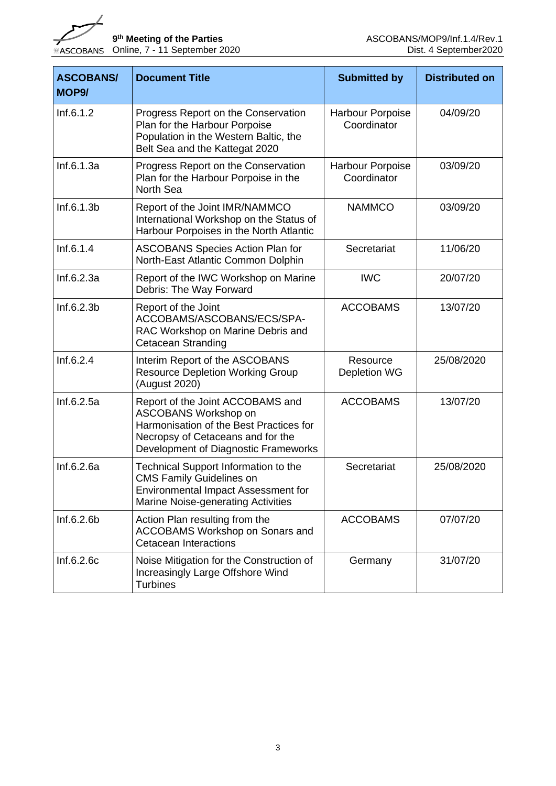

| <b>ASCOBANS/</b><br>MOP <sub>9</sub> / | <b>Document Title</b>                                                                                                                                                            | <b>Submitted by</b>             | <b>Distributed on</b> |
|----------------------------------------|----------------------------------------------------------------------------------------------------------------------------------------------------------------------------------|---------------------------------|-----------------------|
| Inf.6.1.2                              | Progress Report on the Conservation<br>Plan for the Harbour Porpoise<br>Population in the Western Baltic, the<br>Belt Sea and the Kattegat 2020                                  | Harbour Porpoise<br>Coordinator | 04/09/20              |
| Inf.6.1.3a                             | Progress Report on the Conservation<br>Plan for the Harbour Porpoise in the<br><b>North Sea</b>                                                                                  | Harbour Porpoise<br>Coordinator | 03/09/20              |
| Inf.6.1.3b                             | Report of the Joint IMR/NAMMCO<br>International Workshop on the Status of<br>Harbour Porpoises in the North Atlantic                                                             | <b>NAMMCO</b>                   | 03/09/20              |
| Inf.6.1.4                              | <b>ASCOBANS Species Action Plan for</b><br>North-East Atlantic Common Dolphin                                                                                                    | Secretariat                     | 11/06/20              |
| Inf.6.2.3a                             | Report of the IWC Workshop on Marine<br>Debris: The Way Forward                                                                                                                  | <b>IWC</b>                      | 20/07/20              |
| Inf.6.2.3b                             | Report of the Joint<br>ACCOBAMS/ASCOBANS/ECS/SPA-<br>RAC Workshop on Marine Debris and<br><b>Cetacean Stranding</b>                                                              | <b>ACCOBAMS</b>                 | 13/07/20              |
| Inf.6.2.4                              | Interim Report of the ASCOBANS<br><b>Resource Depletion Working Group</b><br>(August 2020)                                                                                       | Resource<br>Depletion WG        | 25/08/2020            |
| Inf.6.2.5a                             | Report of the Joint ACCOBAMS and<br>ASCOBANS Workshop on<br>Harmonisation of the Best Practices for<br>Necropsy of Cetaceans and for the<br>Development of Diagnostic Frameworks | <b>ACCOBAMS</b>                 | 13/07/20              |
| Inf.6.2.6a                             | Technical Support Information to the<br><b>CMS Family Guidelines on</b><br>Environmental Impact Assessment for<br>Marine Noise-generating Activities                             | Secretariat                     | 25/08/2020            |
| Inf.6.2.6b                             | Action Plan resulting from the<br>ACCOBAMS Workshop on Sonars and<br><b>Cetacean Interactions</b>                                                                                | <b>ACCOBAMS</b>                 | 07/07/20              |
| Inf.6.2.6c                             | Noise Mitigation for the Construction of<br>Increasingly Large Offshore Wind<br><b>Turbines</b>                                                                                  | Germany                         | 31/07/20              |